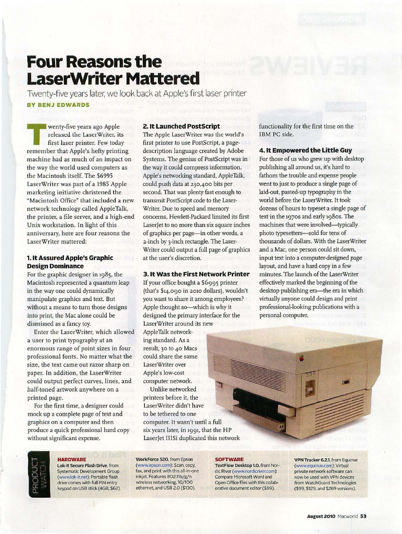## **Four Reasons the LaserWriter Mattered**

Twenty-five years later, we look back at Apple's first laser printer **BY BENJ EDWARDS** 

Example wenty-five years ago Apple<br>
released the LaserWriter, it<br>
first laser printer. Few toda<br>
remember that Apple's befty printi released the LaserWriter, its first laser printer. Few today remember that Apple's hefty printing machine had as much of an impact on the way the world used computers as the Macintosh itself. The \$6995 LaserWriter was part of a 1985 Apple marketing initiative christened the "Macintosh Office" that included a new network technology called AppleTalk. the printer, a file server, and a high-end Unix workstation. In light of this anniversary, here are four reasons the LaserWriter mattered:

### **1. It Assured Apple's Graphic Design Dominance**

For the graphic designer in 1985, the Macintosh represented a quantum leap in the way one could dynamically manipulate graphics and text. But without a means to turn those designs into print, the Mac alone could be dismissed as a fancy toy.

Enter the LaserWriter, which allowed a user to print typography at an enormous range of point sizes in four professional fonts. No matter what the size, the text came out razor sharp on paper. In addition, the LaserWriter could output perfect curves, lines, and half.toned artwork anywhere on a printed page.

For the first time, a designer could mock up a complete page of text and graphics on a computer and then produce a quick professional hard copy without significant expense.

### **2. It Launched Postscript**

The Apple LaserWriter was the world's first printer to use PostScript, a pagedescription language created by Adobe Systems. The genius of PostScript was in the way it could compress information. Apple's networking standard, AppleTalk, could push data at 230,400 bits per second. That was plenty fast enough to transmit PostScript code to the Laser-Writer. Due to speed and memory concerns, Hewlett-Packard limited its first Laser/et to no more than six square inches of graphics per page-in other words, a 2-inch by 3-inch rectangle. The Laser-Writer could output a full page of graphics at the user's discretion.

### **3. It Was the First Network Printer**

If your office bought a \$6995 printer (that's \$14,090 in 2010 dollars), wouldn't you want to share it among employees? Apple thought so-which is why it designed the primary interface for the LaserWriter around its new

AppleTalk networking standard. As a result, 30 to 40 Macs could share the same LaserWriter over Apple's low-cost computer network.

Unlike networked printers before it, the LaserWriter didn't have to be tethered to one computer. It wasn't until a full six years later, in 1991, that the HP LaserJet ll!Si duplicated this network functionality for the first time on the IBM PC side.

### **4. It Empowered the Little Guy**

For those of us who grew up with desktop publishing all around us. it's hard to fathom the trouble and expense people went to just to produce a single page of laid-out, pasted-up typography in the world before the LaserWriter. It took dozens of hours to typeset a single page of text in the 1970s and early 1980s. The machines that were involved-typically photo typesetters-sold for tens of thousands of dollars. With the Laser\Vriter and a Mac, one person could sit down, input text into a computer-designed page layout, and have a hard copy in a few minutes. The launch of the LaserWriter effectively marked the beginning of the desktop publishing era-the era in which virtually anyone could design and print professional-looking publications with a personal computer.



### **HARDWARE**

Lok-It Secure Flash Drive, from Systematic Development Group (www.lok-itnet): Portable flash drive comes with full PIN entry keypad on USB stick (4GB, \$62).

WorkForce 520, from Epson (www.epson.com): Scan. copy, fax, and print with this all-in-one inkjet. Features 802.11b/g/n wireless networking. 10/100 ethernet, and USB 2.0 (\$130).

### **SOFTWARE**

TextFlow Desktop 1.0, from Nor-. die River (www.nordicriver.com): Compare Microsoft Word and Open Office files with this collaborative document editor (\$99).

VPN Tracker 6.2.1, from Equinux (www.equinux.com): Virtual private network software can now be used with VPN devices from WatchGuard Technologies (\$99, \$129, and S269 versions).